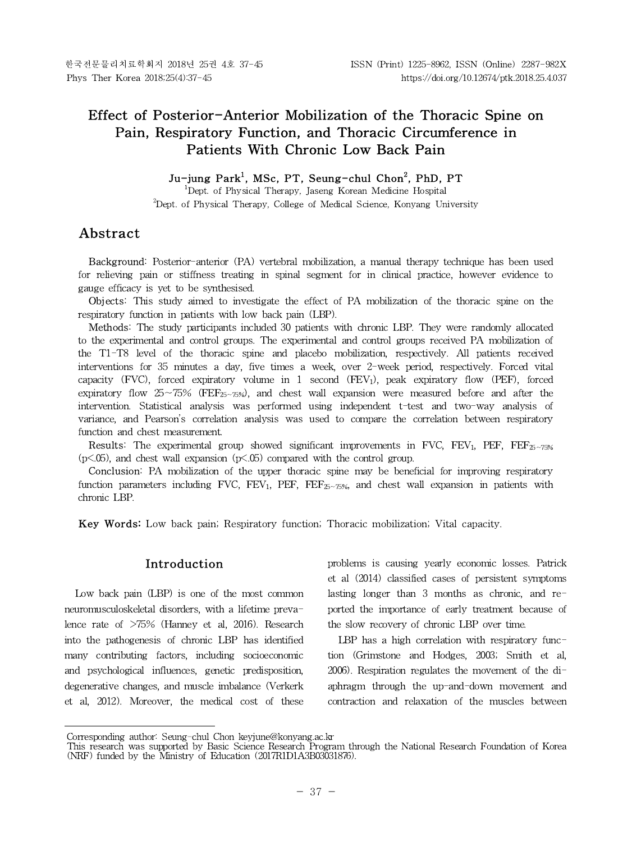# **Effect of Posterior-Anterior Mobilization of the Thoracic Spine on Pain, Respiratory Function, and Thoracic Circumference in Patients With Chronic Low Back Pain**

# **Ju-jung Park<sup>1</sup> , MSc, PT, Seung-chul Chon<sup>2</sup> , PhD, PT**

<sup>1</sup>Dept. of Physical Therapy, Jaseng Korean Medicine Hospital  $2$ Dept. of Physical Therapy, College of Medical Science, Konyang University

# **Abstract1)**

Background: Posterior-anterior (PA) vertebral mobilization, a manual therapy technique has been used for relieving pain or stiffness treating in spinal segment for in clinical practice, however evidence to gauge efficacy is yet to be synthesised.

Objects: This study aimed to investigate the effect of PA mobilization of the thoracic spine on the respiratory function in patients with low back pain (LBP).

Methods: The study participants included 30 patients with chronic LBP. They were randomly allocated to the experimental and control groups. The experimental and control groups received PA mobilization of the T1-T8 level of the thoracic spine and placebo mobilization, respectively. All patients received interventions for 35 minutes a day, five times a week, over 2-week period, respectively. Forced vital capacity (FVC), forced expiratory volume in  $1$  second (FEV<sub>1</sub>), peak expiratory flow (PEF), forced expiratory flow 25∼75% (FEF<sub>25∼75%</sub>), and chest wall expansion were measured before and after the intervention. Statistical analysis was performed using independent t-test and two-way analysis of variance, and Pearson's correlation analysis was used to compare the correlation between respiratory function and chest measurement.

**Results:** The experimental group showed significant improvements in FVC, FEV<sub>1</sub>, PEF, FEF<sub>25</sub>∼ $\pi_{56}$  $(p<.05)$ , and chest wall expansion  $(p<.05)$  compared with the control group.

**Conclusion:** PA mobilization of the upper thoracic spine may be beneficial for improving respiratory function parameters including FVC, FEV<sub>1</sub>, PEF, FEF<sub>25∼75%</sub>, and chest wall expansion in patients with chronic LBP.

**Key Words:** Low back pain; Respiratory function; Thoracic mobilization; Vital capacity.

#### **Introduction**

Low back pain (LBP) is one of the most common neuromusculoskeletal disorders, with a lifetime prevalence rate of >75% (Hanney et al, 2016). Research into the pathogenesis of chronic LBP has identified many contributing factors, including socioeconomic and psychological influences, genetic predisposition, degenerative changes, and muscle imbalance (Verkerk et al, 2012). Moreover, the medical cost of these problems is causing yearly economic losses. Patrick et al (2014) classified cases of persistent symptoms lasting longer than 3 months as chronic, and reported the importance of early treatment because of the slow recovery of chronic LBP over time.

LBP has a high correlation with respiratory function (Grimstone and Hodges, 2003; Smith et al, 2006). Respiration regulates the movement of the diaphragm through the up-and-down movement and contraction and relaxation of the muscles between

Corresponding author: Seung-chul Chon keyjune@konyang.ac.kr

This research was supported by Basic Science Research Program through the National Research Foundation of Korea (NRF) funded by the Ministry of Education (2017R1D1A3B03031876).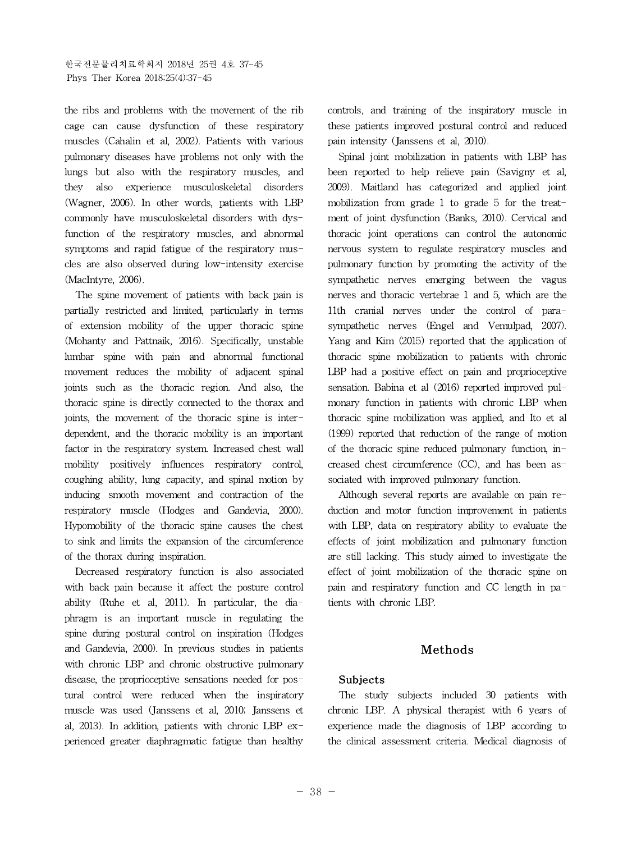the ribs and problems with the movement of the rib cage can cause dysfunction of these respiratory muscles (Cahalin et al, 2002). Patients with various pulmonary diseases have problems not only with the lungs but also with the respiratory muscles, and they also experience musculoskeletal disorders (Wagner, 2006). In other words, patients with LBP commonly have musculoskeletal disorders with dysfunction of the respiratory muscles, and abnormal symptoms and rapid fatigue of the respiratory muscles are also observed during low-intensity exercise (MacIntyre, 2006).

The spine movement of patients with back pain is partially restricted and limited, particularly in terms of extension mobility of the upper thoracic spine (Mohanty and Pattnaik, 2016). Specifically, unstable lumbar spine with pain and abnormal functional movement reduces the mobility of adjacent spinal joints such as the thoracic region. And also, the thoracic spine is directly connected to the thorax and joints, the movement of the thoracic spine is interdependent, and the thoracic mobility is an important factor in the respiratory system. Increased chest wall mobility positively influences respiratory control, coughing ability, lung capacity, and spinal motion by inducing smooth movement and contraction of the respiratory muscle (Hodges and Gandevia, 2000). Hypomobility of the thoracic spine causes the chest to sink and limits the expansion of the circumference of the thorax during inspiration.

Decreased respiratory function is also associated with back pain because it affect the posture control ability (Ruhe et al, 2011). In particular, the diaphragm is an important muscle in regulating the spine during postural control on inspiration (Hodges and Gandevia, 2000). In previous studies in patients with chronic LBP and chronic obstructive pulmonary disease, the proprioceptive sensations needed for postural control were reduced when the inspiratory muscle was used (Janssens et al, 2010; Janssens et al, 2013). In addition, patients with chronic LBP experienced greater diaphragmatic fatigue than healthy

controls, and training of the inspiratory muscle in these patients improved postural control and reduced pain intensity (Janssens et al, 2010).

Spinal joint mobilization in patients with LBP has been reported to help relieve pain (Savigny et al, 2009). Maitland has categorized and applied joint mobilization from grade 1 to grade 5 for the treatment of joint dysfunction (Banks, 2010). Cervical and thoracic joint operations can control the autonomic nervous system to regulate respiratory muscles and pulmonary function by promoting the activity of the sympathetic nerves emerging between the vagus nerves and thoracic vertebrae 1 and 5, which are the 11th cranial nerves under the control of parasympathetic nerves (Engel and Vemulpad, 2007). Yang and Kim (2015) reported that the application of thoracic spine mobilization to patients with chronic LBP had a positive effect on pain and proprioceptive sensation. Babina et al (2016) reported improved pulmonary function in patients with chronic LBP when thoracic spine mobilization was applied, and Ito et al (1999) reported that reduction of the range of motion of the thoracic spine reduced pulmonary function, increased chest circumference (CC), and has been associated with improved pulmonary function.

Although several reports are available on pain reduction and motor function improvement in patients with LBP, data on respiratory ability to evaluate the effects of joint mobilization and pulmonary function are still lacking. This study aimed to investigate the effect of joint mobilization of the thoracic spine on pain and respiratory function and CC length in patients with chronic LBP.

# **Methods**

## **Subjects**

The study subjects included 30 patients with chronic LBP. A physical therapist with 6 years of experience made the diagnosis of LBP according to the clinical assessment criteria. Medical diagnosis of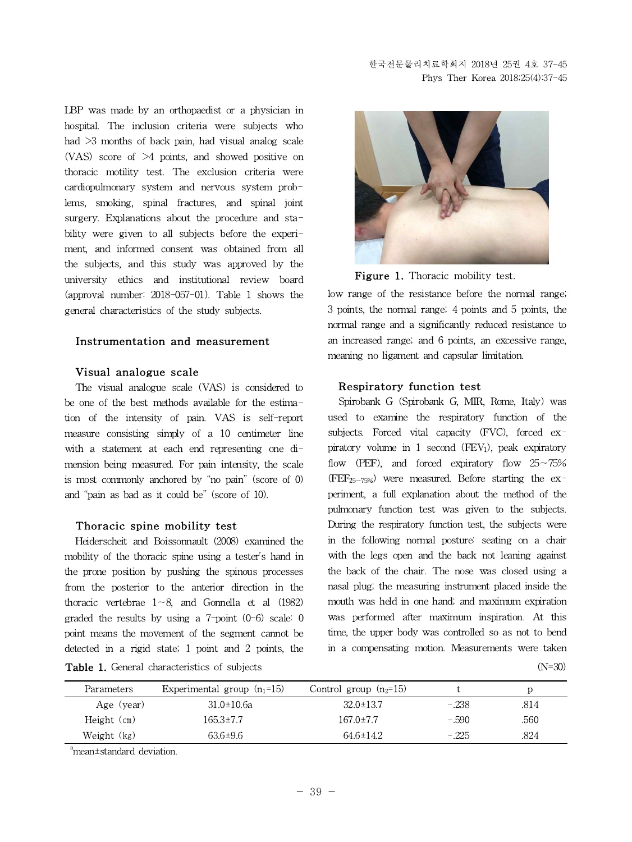LBP was made by an orthopaedist or a physician in hospital. The inclusion criteria were subjects who had >3 months of back pain, had visual analog scale (VAS) score of >4 points, and showed positive on thoracic motility test. The exclusion criteria were cardiopulmonary system and nervous system problems, smoking, spinal fractures, and spinal joint surgery. Explanations about the procedure and stability were given to all subjects before the experiment, and informed consent was obtained from all the subjects, and this study was approved by the university ethics and institutional review board (approval number: 2018-057-01). Table 1 shows the general characteristics of the study subjects.

#### **Instrumentation and measurement**

#### **Visual analogue scale**

The visual analogue scale (VAS) is considered to be one of the best methods available for the estimation of the intensity of pain. VAS is self-report measure consisting simply of a 10 centimeter line with a statement at each end representing one dimension being measured. For pain intensity, the scale is most commonly anchored by "no pain" (score of 0) and "pain as bad as it could be" (score of 10).

#### **Thoracic spine mobility test**

**Table 1.** General characteristics of subjects (N=30) Heiderscheit and Boissonnault (2008) examined the mobility of the thoracic spine using a tester's hand in the prone position by pushing the spinous processes from the posterior to the anterior direction in the thoracic vertebrae 1∼8, and Gonnella et al (1982) graded the results by using a  $7$ -point  $(0-6)$  scale: 0 point means the movement of the segment cannot be detected in a rigid state; 1 point and 2 points, the

Figure 1. Thoracic mobility test.

low range of the resistance before the normal range; 3 points, the normal range; 4 points and 5 points, the normal range and a significantly reduced resistance to an increased range; and 6 points, an excessive range, meaning no ligament and capsular limitation.

#### **Respiratory function test**

Spirobank G (Spirobank G, MIR, Rome, Italy) was used to examine the respiratory function of the subjects. Forced vital capacity (FVC), forced expiratory volume in 1 second  $(FEV_1)$ , peak expiratory flow (PEF), and forced expiratory flow 25∼75% (FEF25∼75%) were measured. Before starting the experiment, a full explanation about the method of the pulmonary function test was given to the subjects. During the respiratory function test, the subjects were in the following normal posture: seating on a chair with the legs open and the back not leaning against the back of the chair. The nose was closed using a nasal plug; the measuring instrument placed inside the mouth was held in one hand; and maximum expiration was performed after maximum inspiration. At this time, the upper body was controlled so as not to bend in a compensating motion. Measurements were taken

| Parameters    | Experimental group $(n_1=15)$ | Control group $(n_2=15)$ |         |      |
|---------------|-------------------------------|--------------------------|---------|------|
| Age (year)    | $31.0 \pm 10.6a$              | $32.0 \pm 13.7$          | $-.238$ | .814 |
| $Height$ (cm) | 165.3±7.7                     | $167.0 \pm 7.7$          | $-.590$ | .560 |
| Weight (kg)   | $63.6 \pm 9.6$                | $64.6 \pm 14.2$          | $-.225$ | .824 |

a<sub>mean±standard</sub> deviation.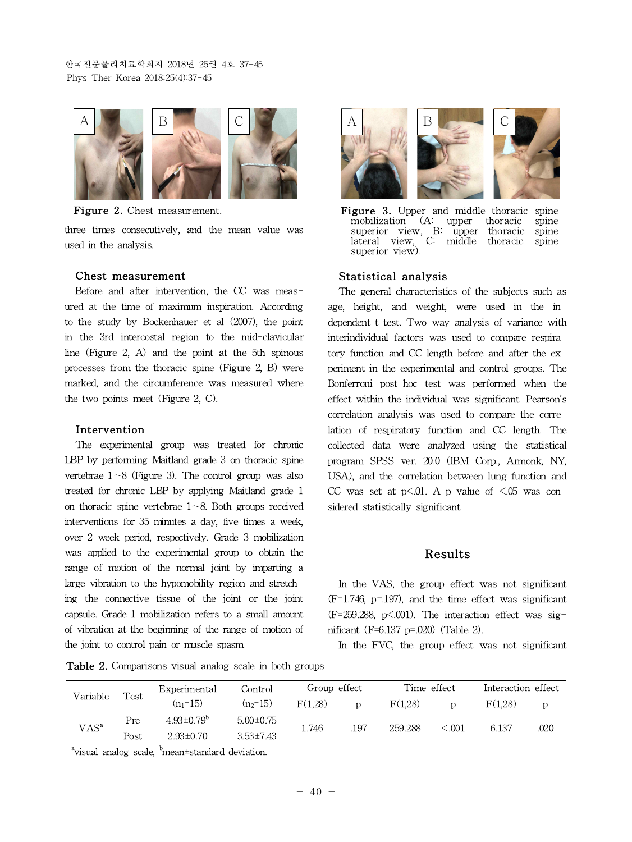한국전문물리치료학회지 2018년 25권 4호 37-45 Phys Ther Korea 2018;25(4):37-45



**Figure 2.** Chest measurement.

three times consecutively, and the mean value was used in the analysis.

#### **Chest measurement**

Before and after intervention, the CC was measured at the time of maximum inspiration. According to the study by Bockenhauer et al (2007), the point in the 3rd intercostal region to the mid-clavicular line (Figure 2, A) and the point at the 5th spinous processes from the thoracic spine (Figure 2, B) were marked, and the circumference was measured where the two points meet (Figure 2, C).

#### **Intervention**

The experimental group was treated for chronic LBP by performing Maitland grade 3 on thoracic spine vertebrae 1∼8 (Figure 3). The control group was also treated for chronic LBP by applying Maitland grade 1 on thoracic spine vertebrae 1∼8. Both groups received interventions for 35 minutes a day, five times a week, over 2-week period, respectively. Grade 3 mobilization was applied to the experimental group to obtain the range of motion of the normal joint by imparting a large vibration to the hypomobility region and stretching the connective tissue of the joint or the joint capsule. Grade 1 mobilization refers to a small amount of vibration at the beginning of the range of motion of the joint to control pain or muscle spasm.



**Figure 3.** Upper and middle thoracic spine mobilization (A: upper thoracic spine superior view, B: upper thoracic spine superior view, B: upper thoracic spine lateral view, C: middle thoracic spine superior view).

#### **Statistical analysis**

The general characteristics of the subjects such as age, height, and weight, were used in the independent t-test. Two-way analysis of variance with interindividual factors was used to compare respiratory function and CC length before and after the experiment in the experimental and control groups. The Bonferroni post-hoc test was performed when the effect within the individual was significant. Pearson's correlation analysis was used to compare the correlation of respiratory function and CC length. The collected data were analyzed using the statistical program SPSS ver. 20.0 (IBM Corp., Armonk, NY, USA), and the correlation between lung function and CC was set at  $p<.01$ . A p value of  $\le.05$  was considered statistically significant.

### **Results**

In the VAS, the group effect was not significant (F=1.746, p=.197), and the time effect was significant  $(F=259.288, p\leq 0.001)$ . The interaction effect was significant (F=6.137 p=.020) (Table 2).

In the FVC, the group effect was not significant

| Test<br>Variable |      | Experimental            | Control         | Group effect |     | Time effect |           | Interaction effect |      |
|------------------|------|-------------------------|-----------------|--------------|-----|-------------|-----------|--------------------|------|
|                  |      | $(n_1=15)$              | $(n_2=15)$      | F(1.28)      |     | F(1.28)     | D         | F(1.28)            |      |
| VAS <sup>a</sup> | Pre  | $4.93 \pm 0.79^{\circ}$ | $5.00 \pm 0.75$ | 1.746        | 197 | 259.288     | ${<}.001$ | 6.137              | .020 |
|                  | Post | $2.93 \pm 0.70$         | $3.53\pm7.43$   |              |     |             |           |                    |      |

**Table 2.** Comparisons visual analog scale in both groups

<sup>a</sup>visual analog scale, <sup>b</sup>mean±standard deviation.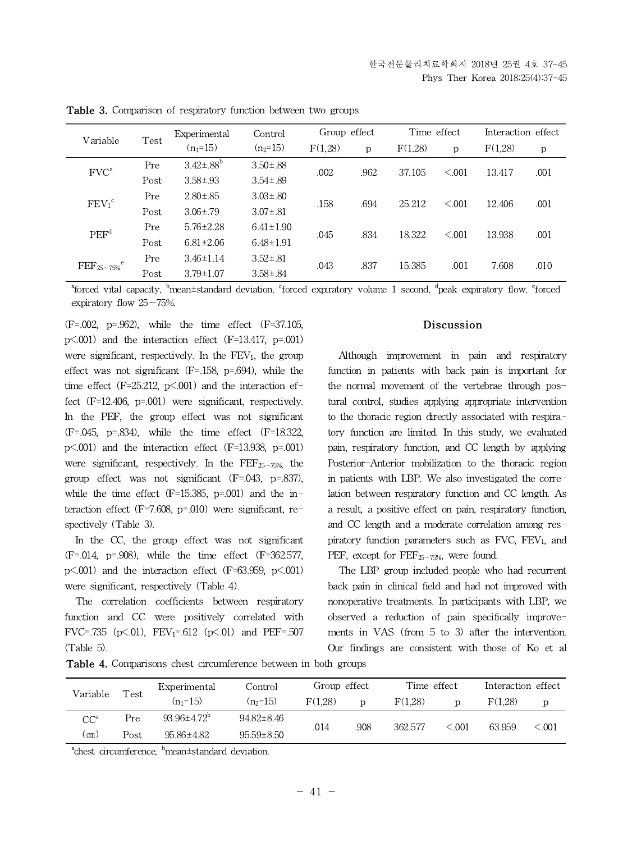| Variable                    |      | Experimental     | Group effect<br>Control |         |      | Time effect    |         | Interaction effect |      |
|-----------------------------|------|------------------|-------------------------|---------|------|----------------|---------|--------------------|------|
|                             | Test | $(n_1=15)$       | $(n_2=15)$              | F(1.28) | p    | F(1,28)        | p       | F(1,28)            | р    |
| FVC <sup>a</sup>            | Pre  | $3.42 \pm .88^b$ | $3.50 \pm .88$          | .002    | .962 | 37.105         | < 0.001 | 13.417             | .001 |
|                             | Post | $3.58 \pm .93$   | $3.54 \pm .89$          |         |      |                |         |                    |      |
| $FEV_1^c$                   | Pre  | $2.80 \pm .85$   | $3.03 \pm .80$          | .158    | .694 | 25.212         | < 0.001 | 12.406             | .001 |
|                             | Post | $3.06 \pm .79$   | $3.07 \pm .81$          |         |      |                |         |                    |      |
| PEF <sup>d</sup>            | Pre  | $5.76 \pm 2.28$  | $6.41 \pm 1.90$         | .045    |      | .834<br>18.322 | < 0.001 | 13.938             | .001 |
|                             | Post | $6.81 \pm 2.06$  | $6.48 \pm 1.91$         |         |      |                |         |                    |      |
| $\rm{FEF_{25\sim75\%}}^{e}$ | Pre  | $3.46 \pm 1.14$  | $3.52 \pm .81$          | .043    |      | .837<br>15.385 | .001    | 7.608              | .010 |
|                             | Post | $3.79 \pm 1.07$  | $3.58 \pm .84$          |         |      |                |         |                    |      |

**Table 3.** Comparison of respiratory function between two groups

 $a<sup>4</sup>$ forced vital capacity,  $b<sup>5</sup>$ mean±standard deviation, cforced expiratory volume 1 second,  $a<sup>4</sup>$ peak expiratory flow,  $a<sup>5</sup>$ forced expiratory flow 25∼75%.

(F=.002, p=.962), while the time effect (F=37.105, p<.001) and the interaction effect (F=13.417, p=.001) were significant, respectively. In the  $FEV<sub>1</sub>$ , the group effect was not significant  $(F=158, p=.694)$ , while the time effect  $(F=25.212, p\leq 0.001)$  and the interaction effect (F=12.406, p=.001) were significant, respectively. In the PEF, the group effect was not significant (F=.045, p=.834), while the time effect (F=18.322, p<.001) and the interaction effect (F=13.938, p=.001) were significant, respectively. In the FEF<sub>25∼75%</sub> the group effect was not significant (F=.043, p=.837), while the time effect  $(F=15.385, p=.001)$  and the interaction effect (F=7.608, p=.010) were significant, respectively (Table 3).

In the CC, the group effect was not significant (F=.014, p=.908), while the time effect (F=362.577,  $p<.001$ ) and the interaction effect (F=63.959,  $p<.001$ ) were significant, respectively (Table 4).

The correlation coefficients between respiratory function and CC were positively correlated with FVC=.735 (p $\leq$ .01), FEV<sub>1</sub>=.612 (p $\leq$ .01) and PEF=.507 (Table 5).

#### **Discussion**

Although improvement in pain and respiratory function in patients with back pain is important for the normal movement of the vertebrae through postural control, studies applying appropriate intervention to the thoracic region directly associated with respiratory function are limited. In this study, we evaluated pain, respiratory function, and CC length by applying Posterior-Anterior mobilization to the thoracic region in patients with LBP. We also investigated the correlation between respiratory function and CC length.As a result, a positive effect on pain, respiratory function, and CC length and a moderate correlation among respiratory function parameters such as  $FVC$ ,  $FEV<sub>1</sub>$ , and PEF, except for FEF25∼75%, were found.

The LBP group included people who had recurrent back pain in clinical field and had not improved with nonoperative treatments. In participants with LBP, we observed a reduction of pain specifically improvements in VAS (from 5 to 3) after the intervention. Our findings are consistent with those of Ko et al

| Test<br>Variable |            | Experimental             | Control          | Time effect<br>Group effect |         | Interaction effect |                |        |        |
|------------------|------------|--------------------------|------------------|-----------------------------|---------|--------------------|----------------|--------|--------|
|                  | $(n_1=15)$ | $(n_2=15)$               | F(1.28)          |                             | F(1.28) |                    | F(1.28)        |        |        |
| $CC^a$           | Pre        | $93.96 \pm 4.72^{\circ}$ | $94.82 \pm 8.46$ |                             |         | 362.577            | $\lesssim 001$ | 63.959 | < 0.01 |
| (cm)             | Post       | 95.86±4.82               | $95.59 \pm 8.50$ | .014                        | .908    |                    |                |        |        |
|                  |            |                          |                  |                             |         |                    |                |        |        |

**Table 4.** Comparisons chest circumference between in both groups

<sup>a</sup>chest circumference, <sup>b</sup>mean±standard deviation.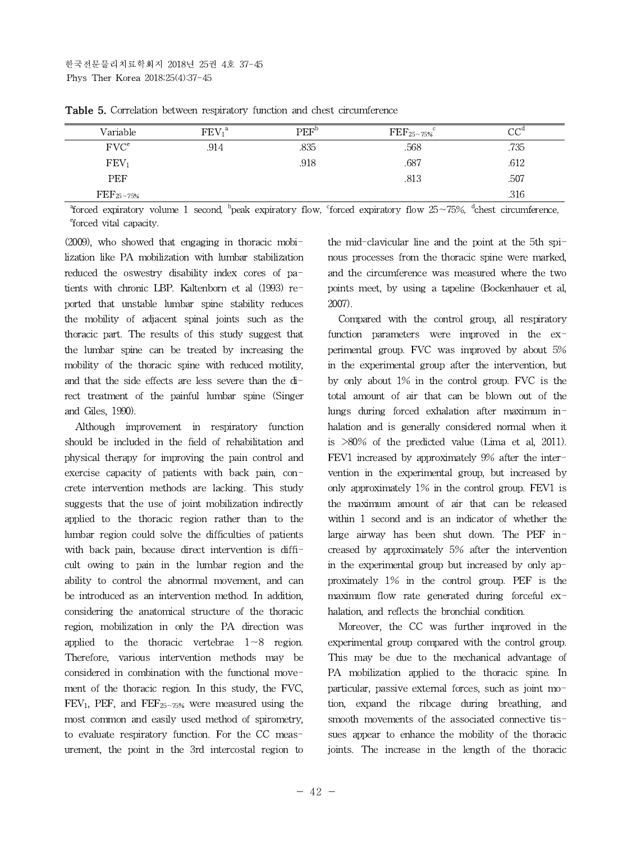| Variable                | FEV <sub>1</sub> <sup>a</sup> | $\rm{PEF}^b$ | $\rm{FEF_{25~175\%}^{c}}$ | $\cap \cap^d$ |
|-------------------------|-------------------------------|--------------|---------------------------|---------------|
| $\rm FVC^e$             | .914                          | .835         | .568                      | .735          |
| FEV <sub>1</sub>        |                               | .918         | .687                      | .612          |
| <b>PEF</b>              |                               |              | .813                      | .507          |
| $\rm{FEF}_{25\sim75\%}$ |                               |              |                           | .316          |

**Table 5.** Correlation between respiratory function and chest circumference

<sup>a</sup>forced expiratory volume 1 second, <sup>b</sup>peak expiratory flow, forced expiratory flow 25∼75%, <sup>d</sup>chest circumference, <sup>e</sup>forced vital capacity.

(2009), who showed that engaging in thoracic mobilization like PA mobilization with lumbar stabilization reduced the oswestry disability index cores of patients with chronic LBP. Kaltenborn et al (1993) reported that unstable lumbar spine stability reduces the mobility of adjacent spinal joints such as the thoracic part. The results of this study suggest that the lumbar spine can be treated by increasing the mobility of the thoracic spine with reduced motility, and that the side effects are less severe than the direct treatment of the painful lumbar spine (Singer and Giles, 1990).

Although improvement in respiratory function should be included in the field of rehabilitation and physical therapy for improving the pain control and exercise capacity of patients with back pain, concrete intervention methods are lacking. This study suggests that the use of joint mobilization indirectly applied to the thoracic region rather than to the lumbar region could solve the difficulties of patients with back pain, because direct intervention is difficult owing to pain in the lumbar region and the ability to control the abnormal movement, and can be introduced as an intervention method. In addition, considering the anatomical structure of the thoracic region, mobilization in only the PA direction was applied to the thoracic vertebrae 1∼8 region. Therefore, various intervention methods may be considered in combination with the functional movement of the thoracic region. In this study, the FVC, FEV<sub>1</sub>, PEF, and FEF<sub>25∼75%</sub> were measured using the most common and easily used method of spirometry, to evaluate respiratory function. For the CC measurement, the point in the 3rd intercostal region to the mid-clavicular line and the point at the 5th spinous processes from the thoracic spine were marked, and the circumference was measured where the two points meet, by using a tapeline (Bockenhauer et al, 2007).

Compared with the control group, all respiratory function parameters were improved in the experimental group. FVC was improved by about 5% in the experimental group after the intervention, but by only about 1% in the control group. FVC is the total amount of air that can be blown out of the lungs during forced exhalation after maximum inhalation and is generally considered normal when it is >80% of the predicted value (Lima et al, 2011). FEV1 increased by approximately 9% after the intervention in the experimental group, but increased by only approximately 1% in the control group. FEV1 is the maximum amount of air that can be released within 1 second and is an indicator of whether the large airway has been shut down. The PEF increased by approximately 5% after the intervention in the experimental group but increased by only approximately 1% in the control group. PEF is the maximum flow rate generated during forceful exhalation, and reflects the bronchial condition.

Moreover, the CC was further improved in the experimental group compared with the control group. This may be due to the mechanical advantage of PA mobilization applied to the thoracic spine. In particular, passive external forces, such as joint motion, expand the ribcage during breathing, and smooth movements of the associated connective tissues appear to enhance the mobility of the thoracic joints. The increase in the length of the thoracic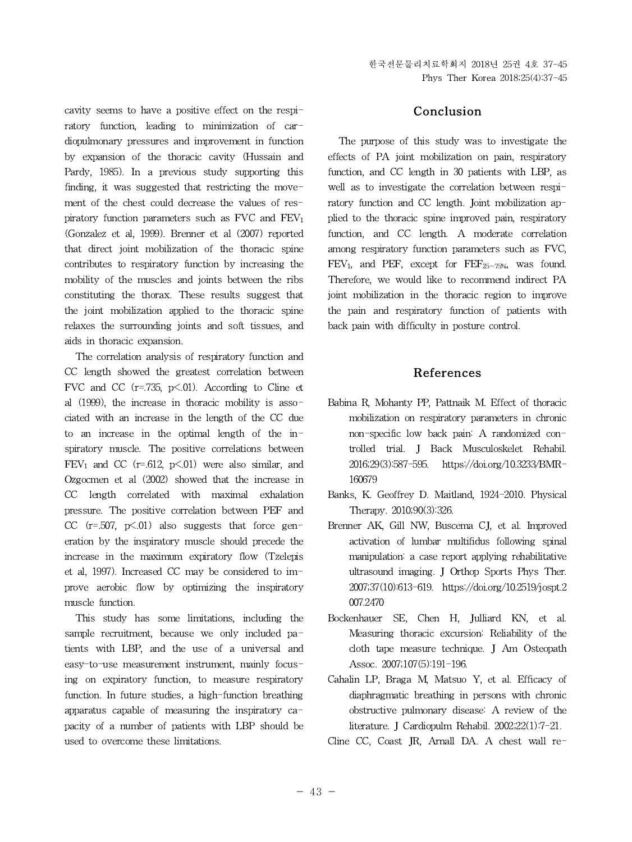cavity seems to have a positive effect on the respiratory function, leading to minimization of cardiopulmonary pressures and improvement in function by expansion of the thoracic cavity (Hussain and Pardy, 1985). In a previous study supporting this finding, it was suggested that restricting the movement of the chest could decrease the values of respiratory function parameters such as FVC and FEV<sup>1</sup> (Gonzalez et al, 1999). Brenner et al (2007) reported that direct joint mobilization of the thoracic spine contributes to respiratory function by increasing the mobility of the muscles and joints between the ribs constituting the thorax. These results suggest that the joint mobilization applied to the thoracic spine relaxes the surrounding joints and soft tissues, and aids in thoracic expansion.

The correlation analysis of respiratory function and CC length showed the greatest correlation between FVC and CC  $(r=.735, p\le.01)$ . According to Cline et al (1999), the increase in thoracic mobility is associated with an increase in the length of the CC due to an increase in the optimal length of the inspiratory muscle. The positive correlations between  $FEV<sub>1</sub>$  and CC (r=.612, p<.01) were also similar, and Ozgocmen et al (2002) showed that the increase in CC length correlated with maximal exhalation pressure. The positive correlation between PEF and CC ( $r=507$ ,  $p<01$ ) also suggests that force generation by the inspiratory muscle should precede the increase in the maximum expiratory flow (Tzelepis et al, 1997). Increased CC may be considered to improve aerobic flow by optimizing the inspiratory muscle function.

This study has some limitations, including the sample recruitment, because we only included patients with LBP, and the use of a universal and easy-to-use measurement instrument, mainly focusing on expiratory function, to measure respiratory function. In future studies, a high-function breathing apparatus capable of measuring the inspiratory capacity of a number of patients with LBP should be used to overcome these limitations.

## **Conclusion**

The purpose of this study was to investigate the effects of PA joint mobilization on pain, respiratory function, and CC length in 30 patients with LBP, as well as to investigate the correlation between respiratory function and CC length. Joint mobilization applied to the thoracic spine improved pain, respiratory function, and CC length. A moderate correlation among respiratory function parameters such as FVC, FEV<sub>1</sub>, and PEF, except for FEF<sub>25∼75%</sub>, was found. Therefore, we would like to recommend indirect PA joint mobilization in the thoracic region to improve the pain and respiratory function of patients with back pain with difficulty in posture control.

## **References**

- Babina R, Mohanty PP, Pattnaik M. Effect of thoracic mobilization on respiratory parameters in chronic non-specific low back pain: A randomized controlled trial. J Back Musculoskelet Rehabil. 2016;29(3):587-595. https://doi.org/10.3233/BMR-160679
- Banks, K. Geoffrey D. Maitland, 1924-2010. Physical Therapy. 2010;90(3):326.
- Brenner AK, Gill NW, Buscema CJ, et al. Improved activation of lumbar multifidus following spinal manipulation: a case report applying rehabilitative ultrasound imaging. J Orthop Sports Phys Ther. 2007;37(10):613-619. https://doi.org/10.2519/jospt.2 007.2470
- Bockenhauer SE, Chen H, Julliard KN, et al. Measuring thoracic excursion: Reliability of the cloth tape measure technique. J Am Osteopath Assoc. 2007;107(5):191-196.
- Cahalin LP, Braga M, Matsuo Y, et al. Efficacy of diaphragmatic breathing in persons with chronic obstructive pulmonary disease: A review of the literature. J Cardiopulm Rehabil. 2002;22(1):7-21.
- Cline CC, Coast JR, Arnall DA. A chest wall re-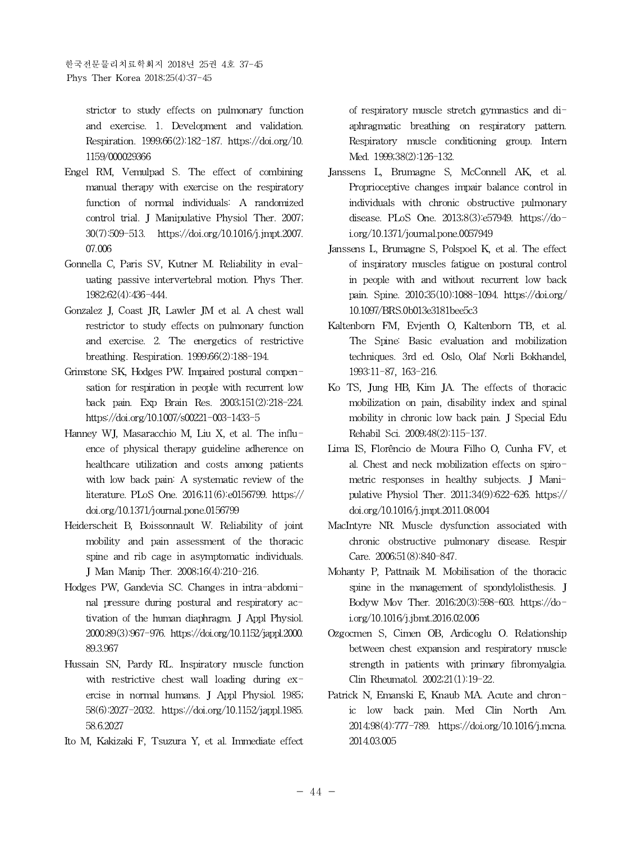한국전문물리치료학회지 2018년 25권 4호 37-45 Phys Ther Korea 2018;25(4):37-45

strictor to study effects on pulmonary function and exercise. 1. Development and validation. Respiration. 1999;66(2):182-187. https://doi.org/10. 1159/000029366

- Engel RM, Vemulpad S. The effect of combining manual therapy with exercise on the respiratory function of normal individuals: A randomized control trial. J Manipulative Physiol Ther. 2007; 30(7):509-513. https://doi.org/10.1016/j.jmpt.2007. 07.006
- Gonnella C, Paris SV, Kutner M. Reliability in evaluating passive intervertebral motion. Phys Ther. 1982;62(4):436-444.
- Gonzalez J, Coast JR, Lawler JM et al. A chest wall restrictor to study effects on pulmonary function and exercise. 2. The energetics of restrictive breathing. Respiration. 1999;66(2):188-194.
- Grimstone SK, Hodges PW. Impaired postural compensation for respiration in people with recurrent low back pain. Exp Brain Res. 2003;151(2):218-224. https://doi.org/10.1007/s00221-003-1433-5
- Hanney WJ, Masaracchio M, Liu X, et al. The influence of physical therapy guideline adherence on healthcare utilization and costs among patients with low back pain: A systematic review of the literature. PLoS One. 2016;11(6):e0156799. https:// doi.org/10.1371/journal.pone.0156799
- Heiderscheit B, Boissonnault W. Reliability of joint mobility and pain assessment of the thoracic spine and rib cage in asymptomatic individuals. J Man Manip Ther. 2008;16(4):210-216.
- Hodges PW, Gandevia SC.Changes in intra-abdominal pressure during postural and respiratory activation of the human diaphragm. J Appl Physiol. 2000;89(3):967-976. https://doi.org/10.1152/jappl.2000. 89.3.967
- Hussain SN, Pardy RL. Inspiratory muscle function with restrictive chest wall loading during  $ex$ ercise in normal humans. J Appl Physiol. 1985; 58(6):2027-2032. https://doi.org/10.1152/jappl.1985. 58.6.2027
- Ito M, Kakizaki F, Tsuzura Y, et al. Immediate effect

of respiratory muscle stretch gymnastics and diaphragmatic breathing on respiratory pattern. Respiratory muscle conditioning group. Intern Med. 1999;38(2):126-132.

- Janssens L, Brumagne S, McConnell AK, et al. Proprioceptive changes impair balance control in individuals with chronic obstructive pulmonary disease. PLoS One. 2013;8(3):e57949. https://doi.org/10.1371/journal.pone.0057949
- Janssens L, Brumagne S, Polspoel K, et al. The effect of inspiratory muscles fatigue on postural control in people with and without recurrent low back pain. Spine. 2010;35(10):1088-1094. https://doi.org/ 10.1097/BRS.0b013e3181bee5c3
- Kaltenborn FM, Evjenth O, Kaltenborn TB, et al. The Spine: Basic evaluation and mobilization techniques. 3rd ed. Oslo, Olaf Norli Bokhandel, 1993:11-87, 163-216.
- Ko TS, Jung HB, Kim JA. The effects of thoracic mobilization on pain, disability index and spinal mobility in chronic low back pain. J Special Edu Rehabil Sci. 2009;48(2):115-137.
- Lima IS, Florêncio de Moura Filho O, Cunha FV, et al. Chest and neck mobilization effects on spirometric responses in healthy subjects. J Manipulative Physiol Ther. 2011;34(9):622-626. https:// doi.org/10.1016/j.jmpt.2011.08.004
- MacIntyre NR. Muscle dysfunction associated with chronic obstructive pulmonary disease. Respir Care. 2006;51(8):840-847.
- Mohanty P, Pattnaik M. Mobilisation of the thoracic spine in the management of spondylolisthesis. J Bodyw Mov Ther. 2016;20(3):598-603. https://doi.org/10.1016/j.jbmt.2016.02.006
- Ozgocmen S, Cimen OB, Ardicoglu O. Relationship between chest expansion and respiratory muscle strength in patients with primary fibromyalgia. Clin Rheumatol. 2002;21(1):19-22.
- Patrick N, Emanski E, Knaub MA. Acute and chronic low back pain. Med Clin North Am. 2014;98(4):777-789. https://doi.org/10.1016/j.mcna. 2014.03.005